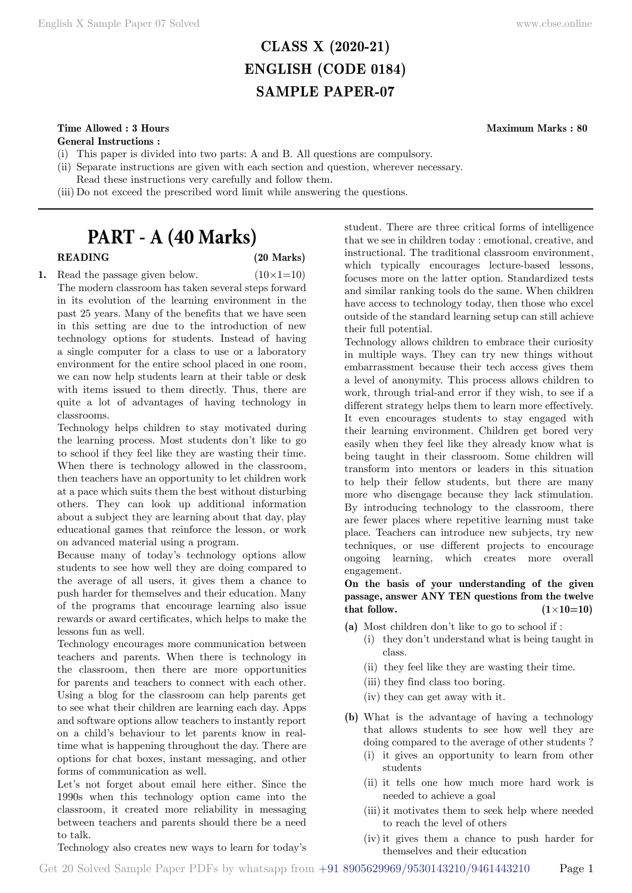# **CLASS X (2020-21) ENGLISH (CODE 0184) SAMPLE PAPER-07**

# **Time Allowed : 3 Hours Maximum Marks : 80**

**General Instructions :**

- (i) This paper is divided into two parts: A and B. All questions are compulsory.
- (ii) Separate instructions are given with each section and question, wherever necessary.
- Read these instructions very carefully and follow them.
- (iii) Do not exceed the prescribed word limit while answering the questions.

# **PART - A (40 Marks)**

# **READING (20 Marks)**

**1.** Read the passage given below.  $(10 \times 1=10)$ The modern classroom has taken several steps forward in its evolution of the learning environment in the past 25 years. Many of the benefits that we have seen in this setting are due to the introduction of new technology options for students. Instead of having a single computer for a class to use or a laboratory environment for the entire school placed in one room, we can now help students learn at their table or desk with items issued to them directly. Thus, there are quite a lot of advantages of having technology in classrooms.

Technology helps children to stay motivated during the learning process. Most students don't like to go to school if they feel like they are wasting their time. When there is technology allowed in the classroom, then teachers have an opportunity to let children work at a pace which suits them the best without disturbing others. They can look up additional information about a subject they are learning about that day, play educational games that reinforce the lesson, or work on advanced material using a program.

Because many of today's technology options allow students to see how well they are doing compared to the average of all users, it gives them a chance to push harder for themselves and their education. Many of the programs that encourage learning also issue rewards or award certificates, which helps to make the lessons fun as well.

Technology encourages more communication between teachers and parents. When there is technology in the classroom, then there are more opportunities for parents and teachers to connect with each other. Using a blog for the classroom can help parents get to see what their children are learning each day. Apps and software options allow teachers to instantly report on a child's behaviour to let parents know in realtime what is happening throughout the day. There are options for chat boxes, instant messaging, and other forms of communication as well.

Let's not forget about email here either. Since the 1990s when this technology option came into the classroom, it created more reliability in messaging between teachers and parents should there be a need to talk.

Technology also creates new ways to learn for today's

student. There are three critical forms of intelligence that we see in children today : emotional, creative, and instructional. The traditional classroom environment, which typically encourages lecture-based lessons, focuses more on the latter option. Standardized tests and similar ranking tools do the same. When children have access to technology today, then those who excel outside of the standard learning setup can still achieve their full potential.

Technology allows children to embrace their curiosity in multiple ways. They can try new things without embarrassment because their tech access gives them a level of anonymity. This process allows children to work, through trial-and error if they wish, to see if a different strategy helps them to learn more effectively. It even encourages students to stay engaged with their learning environment. Children get bored very easily when they feel like they already know what is being taught in their classroom. Some children will transform into mentors or leaders in this situation to help their fellow students, but there are many more who disengage because they lack stimulation. By introducing technology to the classroom, there are fewer places where repetitive learning must take place. Teachers can introduce new subjects, try new techniques, or use different projects to encourage ongoing learning, which creates more overall engagement.

**On the basis of your understanding of the given passage, answer ANY TEN questions from the twelve**  that follow.  $(1\times10=10)$ 

- **(a)** Most children don't like to go to school if :
	- (i) they don't understand what is being taught in class.
	- (ii) they feel like they are wasting their time.
	- (iii) they find class too boring.
	- (iv) they can get away with it.
- **(b)** What is the advantage of having a technology that allows students to see how well they are doing compared to the average of other students ?
	- (i) it gives an opportunity to learn from other students
	- (ii) it tells one how much more hard work is needed to achieve a goal
	- (iii)it motivates them to seek help where needed to reach the level of others
	- (iv) it gives them a chance to push harder for themselves and their education

Get 20 Solved Sample Paper PDFs by whatsapp from  $+91\,8905629969/9530143210/9461443210$  Page 1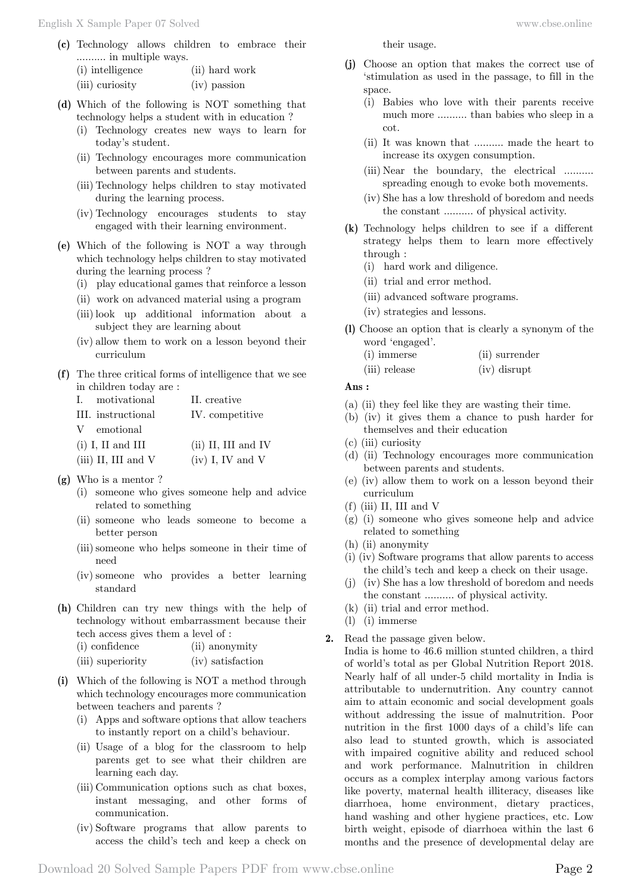- **(c)** Technology allows children to embrace their .......... in multiple ways.
	- (i) intelligence (ii) hard work
	- (iii) curiosity (iv) passion
- **(d)** Which of the following is NOT something that technology helps a student with in education ?
	- (i) Technology creates new ways to learn for today's student.
	- (ii) Technology encourages more communication between parents and students.
	- (iii) Technology helps children to stay motivated during the learning process.
	- (iv) Technology encourages students to stay engaged with their learning environment.
- **(e)** Which of the following is NOT a way through which technology helps children to stay motivated during the learning process ?
	- (i) play educational games that reinforce a lesson
	- (ii) work on advanced material using a program
	- (iii)look up additional information about a subject they are learning about
	- (iv) allow them to work on a lesson beyond their curriculum
- **(f)** The three critical forms of intelligence that we see in children today are :

| I. motivational       | II. creative          |
|-----------------------|-----------------------|
| III. instructional    | IV. competitive       |
| V emotional           |                       |
| $(i)$ I, II and III   | $(ii)$ II, III and IV |
| $(iii)$ II, III and V | $(iv)$ I, IV and V    |

- **(g)** Who is a mentor ?
	- (i) someone who gives someone help and advice related to something
	- (ii) someone who leads someone to become a better person
	- (iii)someone who helps someone in their time of need
	- (iv) someone who provides a better learning standard
- **(h)** Children can try new things with the help of technology without embarrassment because their tech access gives them a level of :

| (i) confidence | (ii) anonymity |
|----------------|----------------|
|----------------|----------------|

- (iii) superiority (iv) satisfaction
- **(i)** Which of the following is NOT a method through which technology encourages more communication between teachers and parents ?
	- (i) Apps and software options that allow teachers to instantly report on a child's behaviour.
	- (ii) Usage of a blog for the classroom to help parents get to see what their children are learning each day.
	- (iii) Communication options such as chat boxes, instant messaging, and other forms of communication.
	- (iv) Software programs that allow parents to access the child's tech and keep a check on

their usage.

- **(j)** Choose an option that makes the correct use of 'stimulation as used in the passage, to fill in the space.
	- (i) Babies who love with their parents receive much more .......... than babies who sleep in a cot.
	- (ii) It was known that .......... made the heart to increase its oxygen consumption.
	- (iii) Near the boundary, the electrical .......... spreading enough to evoke both movements.
	- (iv) She has a low threshold of boredom and needs the constant .......... of physical activity.
- **(k)** Technology helps children to see if a different strategy helps them to learn more effectively through :
	- (i) hard work and diligence.
	- (ii) trial and error method.
	- (iii) advanced software programs.
	- (iv) strategies and lessons.
- **(l)** Choose an option that is clearly a synonym of the word 'engaged'.
	- (i) immerse (ii) surrender
	- (iii) release (iv) disrupt

### **Ans :**

- (a) (ii) they feel like they are wasting their time.
- (b) (iv) it gives them a chance to push harder for themselves and their education
- (c) (iii) curiosity
- (d) (ii) Technology encourages more communication between parents and students.
- (e) (iv) allow them to work on a lesson beyond their curriculum
- (f) (iii) II, III and V
- (g) (i) someone who gives someone help and advice related to something
- (h) (ii) anonymity
- (i) (iv) Software programs that allow parents to access the child's tech and keep a check on their usage.
- (j) (iv) She has a low threshold of boredom and needs the constant .......... of physical activity.
- (k) (ii) trial and error method.
- (l) (i) immerse

# **2.** Read the passage given below.

India is home to 46.6 million stunted children, a third of world's total as per Global Nutrition Report 2018. Nearly half of all under-5 child mortality in India is attributable to undernutrition. Any country cannot aim to attain economic and social development goals without addressing the issue of malnutrition. Poor nutrition in the first 1000 days of a child's life can also lead to stunted growth, which is associated with impaired cognitive ability and reduced school and work performance. Malnutrition in children occurs as a complex interplay among various factors like poverty, maternal health illiteracy, diseases like diarrhoea, home environment, dietary practices, hand washing and other hygiene practices, etc. Low birth weight, episode of diarrhoea within the last 6 months and the presence of developmental delay are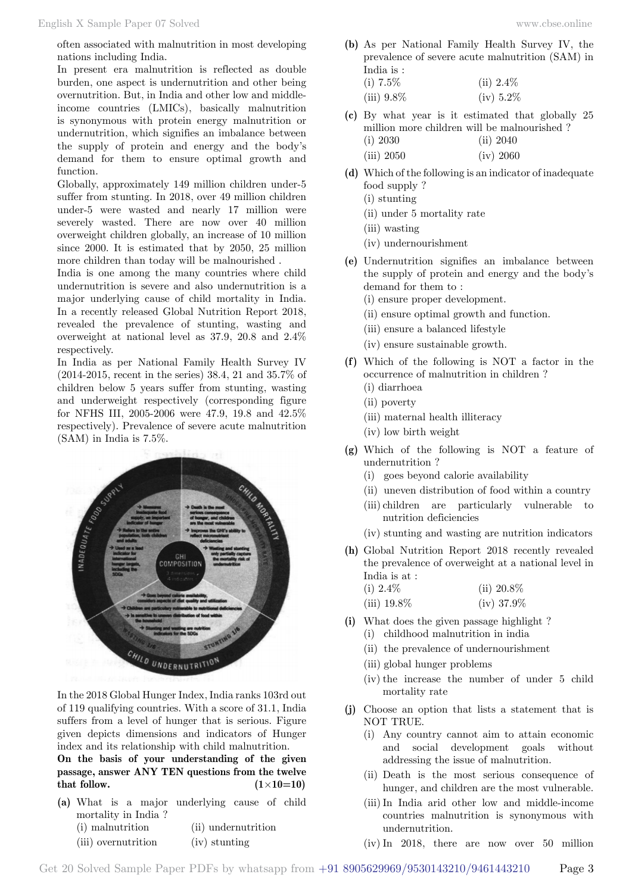often associated with malnutrition in most developing nations including India.

In present era malnutrition is reflected as double burden, one aspect is undernutrition and other being overnutrition. But, in India and other low and middleincome countries (LMICs), basically malnutrition is synonymous with protein energy malnutrition or undernutrition, which signifies an imbalance between the supply of protein and energy and the body's demand for them to ensure optimal growth and function.

Globally, approximately 149 million children under-5 suffer from stunting. In 2018, over 49 million children under-5 were wasted and nearly 17 million were severely wasted. There are now over 40 million overweight children globally, an increase of 10 million since 2000. It is estimated that by 2050, 25 million more children than today will be malnourished .

India is one among the many countries where child undernutrition is severe and also undernutrition is a major underlying cause of child mortality in India. In a recently released Global Nutrition Report 2018, revealed the prevalence of stunting, wasting and overweight at national level as 37.9, 20.8 and 2.4% respectively.

In India as per National Family Health Survey IV (2014-2015, recent in the series) 38.4, 21 and 35.7% of children below 5 years suffer from stunting, wasting and underweight respectively (corresponding figure for NFHS III, 2005-2006 were 47.9, 19.8 and 42.5% respectively). Prevalence of severe acute malnutrition (SAM) in India is 7.5%.



In the 2018 Global Hunger Index, India ranks 103rd out of 119 qualifying countries. With a score of 31.1, India suffers from a level of hunger that is serious. Figure given depicts dimensions and indicators of Hunger index and its relationship with child malnutrition.

**On the basis of your understanding of the given passage, answer ANY TEN questions from the twelve that follow.**  $(1 \times 10=10)$ 

**(a)** What is a major underlying cause of child mortality in India ?

| (i) malnutrition    | (ii) undernutrition |
|---------------------|---------------------|
| (iii) overnutrition | (iv) stunting       |

- **(b)** As per National Family Health Survey IV, the prevalence of severe acute malnutrition (SAM) in India is :
	- (i)  $7.5\%$  (ii)  $2.4\%$ (iii) 9.8% (iv) 5.2%
- **(c)** By what year is it estimated that globally 25 million more children will be malnourished ? (i) 2030 (ii) 2040
	- (iii) 2050 (iv) 2060
- **(d)** Which of the following is an indicator of inadequate food supply ?
	- (i) stunting
	- (ii) under 5 mortality rate
	- (iii) wasting
	- (iv) undernourishment
- **(e)** Undernutrition signifies an imbalance between the supply of protein and energy and the body's demand for them to :
	- (i) ensure proper development.
	- (ii) ensure optimal growth and function.
	- (iii) ensure a balanced lifestyle
	- (iv) ensure sustainable growth.
- **(f)** Which of the following is NOT a factor in the occurrence of malnutrition in children ? (i) diarrhoea
	- (ii) poverty
	- (iii) maternal health illiteracy
	- (iv) low birth weight
- **(g)** Which of the following is NOT a feature of undernutrition ?
	- (i) goes beyond calorie availability
	- (ii) uneven distribution of food within a country
	- (iii) children are particularly vulnerable to nutrition deficiencies
	- (iv) stunting and wasting are nutrition indicators
- **(h)** Global Nutrition Report 2018 recently revealed the prevalence of overweight at a national level in India is at :
	- (i)  $2.4\%$  (ii)  $20.8\%$ (iii)  $19.8\%$  (iv)  $37.9\%$
- **(i)** What does the given passage highlight ?
	- (i) childhood malnutrition in india
	- (ii) the prevalence of undernourishment
	- (iii) global hunger problems
	- (iv) the increase the number of under 5 child mortality rate
- **(j)** Choose an option that lists a statement that is NOT TRUE.
	- (i) Any country cannot aim to attain economic and social development goals without addressing the issue of malnutrition.
	- (ii) Death is the most serious consequence of hunger, and children are the most vulnerable.
	- (iii)In India arid other low and middle-income countries malnutrition is synonymous with undernutrition.
	- (iv) In 2018, there are now over 50 million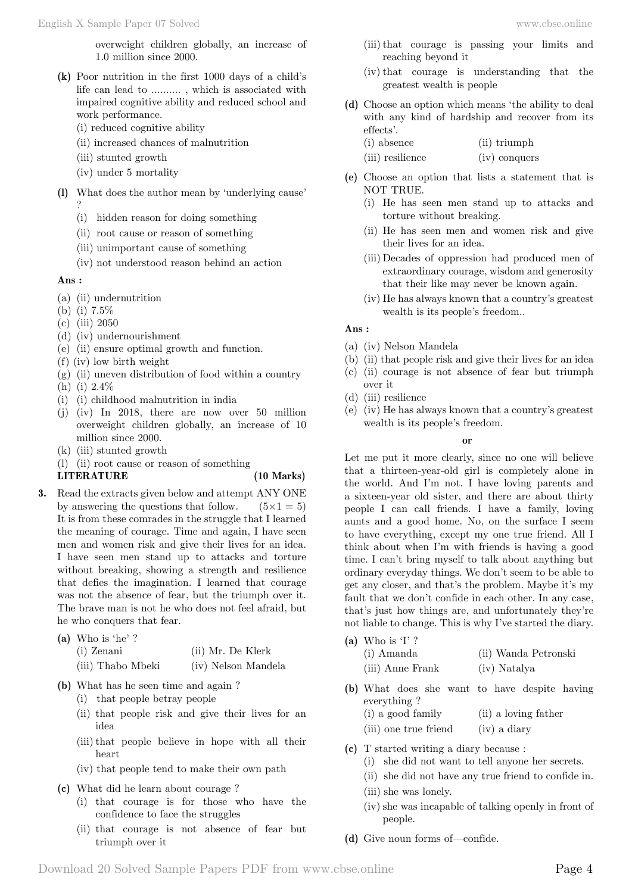overweight children globally, an increase of 1.0 million since 2000.

- **(k)** Poor nutrition in the first 1000 days of a child's life can lead to .......... , which is associated with impaired cognitive ability and reduced school and work performance.
	- (i) reduced cognitive ability
	- (ii) increased chances of malnutrition
	- (iii) stunted growth
	- (iv) under 5 mortality
- **(l)** What does the author mean by 'underlying cause' ?
	- (i) hidden reason for doing something
	- (ii) root cause or reason of something
	- (iii) unimportant cause of something
	- (iv) not understood reason behind an action

#### **Ans :**

- (a) (ii) undernutrition
- (b) (i) 7.5%
- (c) (iii) 2050
- (d) (iv) undernourishment
- (e) (ii) ensure optimal growth and function.
- (f) (iv) low birth weight
- $(g)$  (ii) uneven distribution of food within a country
- (h) (i) 2.4%
- (i) (i) childhood malnutrition in india
- (j) (iv) In 2018, there are now over 50 million overweight children globally, an increase of 10 million since 2000.
- (k) (iii) stunted growth
- (l) (ii) root cause or reason of something

#### **LITERATURE (10 Marks)**

- **3.** Read the extracts given below and attempt ANY ONE by answering the questions that follow.  $(5 \times 1 = 5)$ It is from these comrades in the struggle that I learned the meaning of courage. Time and again, I have seen men and women risk and give their lives for an idea. I have seen men stand up to attacks and torture without breaking, showing a strength and resilience that defies the imagination. I learned that courage was not the absence of fear, but the triumph over it. The brave man is not he who does not feel afraid, but he who conquers that fear.
	- **(a)** Who is 'he' ? (i) Zenani (ii) Mr. De Klerk (iii) Thabo Mbeki (iv) Nelson Mandela
		-
	- **(b)** What has he seen time and again ? (i) that people betray people
		-
		- (ii) that people risk and give their lives for an idea
		- (iii) that people believe in hope with all their heart
		- (iv) that people tend to make their own path
	- **(c)** What did he learn about courage ?
		- (i) that courage is for those who have the confidence to face the struggles
		- (ii) that courage is not absence of fear but triumph over it
- (iii) that courage is passing your limits and reaching beyond it
- (iv) that courage is understanding that the greatest wealth is people
- **(d)** Choose an option which means 'the ability to deal with any kind of hardship and recover from its effects'.
	- (i) absence (ii) triumph
	- (iii) resilience (iv) conquers
- **(e)** Choose an option that lists a statement that is NOT TRUE.
	- (i) He has seen men stand up to attacks and torture without breaking.
	- (ii) He has seen men and women risk and give their lives for an idea.
	- (iii) Decades of oppression had produced men of extraordinary courage, wisdom and generosity that their like may never be known again.
	- (iv) He has always known that a country's greatest wealth is its people's freedom..

#### **Ans :**

- (a) (iv) Nelson Mandela
- (b) (ii) that people risk and give their lives for an idea
- (c) (ii) courage is not absence of fear but triumph over it
- (d) (iii) resilience
- (e) (iv) He has always known that a country's greatest wealth is its people's freedom.

#### **o**

Let me put it more clearly, since no one will believe that a thirteen-year-old girl is completely alone in the world. And I'm not. I have loving parents and a sixteen-year old sister, and there are about thirty people I can call friends. I have a family, loving aunts and a good home. No, on the surface I seem to have everything, except my one true friend. All I think about when I'm with friends is having a good time. I can't bring myself to talk about anything but ordinary everyday things. We don't seem to be able to get any closer, and that's the problem. Maybe it's my fault that we don't confide in each other. In any case, that's just how things are, and unfortunately they're not liable to change. This is why I've started the diary.

- **(a)** Who is 'I' ?
	- (i) Amanda (ii) Wanda Petronski
	- (iii) Anne Frank (iv) Natalya
- **(b)** What does she want to have despite having everything ? (i) a good family (ii) a loving father
	- (iii) one true friend (iv) a diary
- **(c)** T started writing a diary because :
	- (i) she did not want to tell anyone her secrets.
	- (ii) she did not have any true friend to confide in.
	- (iii) she was lonely.
	- (iv) she was incapable of talking openly in front of people.
- **(d)** Give noun forms of—confide.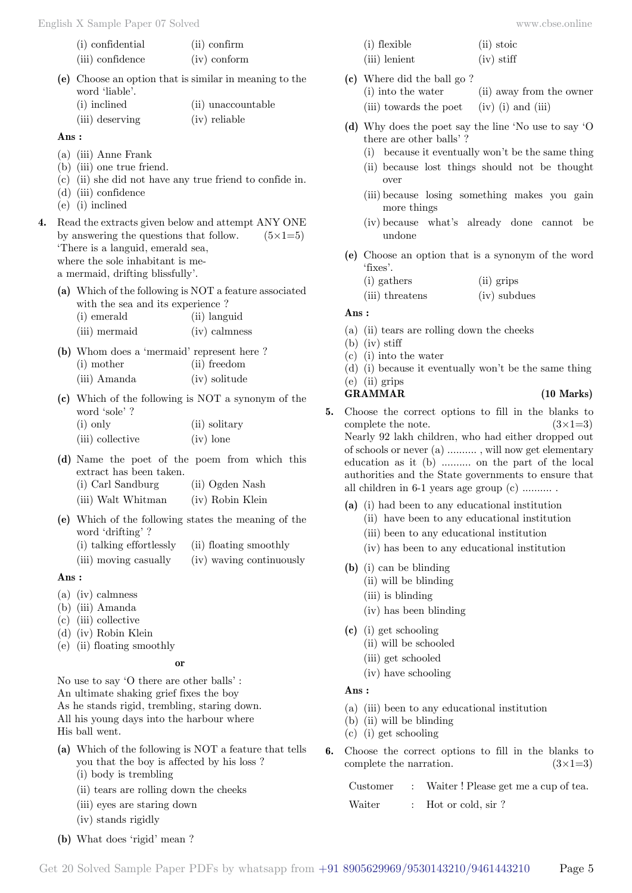| (i) confidential | $(ii)$ confirm |
|------------------|----------------|
| (iii) confidence | $(iv)$ conform |

- **(e)** Choose an option that is similar in meaning to the word 'liable'.
	- (i) inclined (ii) unaccountable (iii) deserving (iv) reliable

 **Ans :**

- (a) (iii) Anne Frank
- (b) (iii) one true friend.
- (c) (ii) she did not have any true friend to confide in.
- (d) (iii) confidence
- (e) (i) inclined
- **4.** Read the extracts given below and attempt ANY ONE by answering the questions that follow.  $(5\times1=5)$ 'There is a languid, emerald sea, where the sole inhabitant is mea mermaid, drifting blissfully'.
	- **(a)** Which of the following is NOT a feature associated with the sea and its experience ?

| (i) emerald   | (ii) languid    |  |
|---------------|-----------------|--|
| (iii) mermaid | $(iv)$ calmness |  |

- **(b)** Whom does a 'mermaid' represent here ? (i) mother (ii) freedom (iii) Amanda (iv) solitude
- **(c)** Which of the following is NOT a synonym of the word 'sole' ?<br> $(i)$  only  $(ii)$  solitary

| $(1)$ only       | (11) solitar |  |
|------------------|--------------|--|
| (iii) collective | $(iv)$ lone  |  |

- **(d)** Name the poet of the poem from which this extract has been taken.
	- (i) Carl Sandburg (ii) Ogden Nash
	- (iii) Walt Whitman (iv) Robin Klein
- **(e)** Which of the following states the meaning of the word 'drifting' ?
	- (i) talking effortlessly (ii) floating smoothly
	- (iii) moving casually (iv) waving continuously

# **Ans :**

- (a) (iv) calmness
- (b) (iii) Amanda
- (c) (iii) collective
- (d) (iv) Robin Klein
- (e) (ii) floating smoothly

# **o**

No use to say 'O there are other balls' : An ultimate shaking grief fixes the boy As he stands rigid, trembling, staring down. All his young days into the harbour where His ball went.

- **(a)** Which of the following is NOT a feature that tells you that the boy is affected by his loss ? (i) body is trembling
	- (ii) tears are rolling down the cheeks
	- (iii) eyes are staring down
	- (iv) stands rigidly
- **(b)** What does 'rigid' mean ?

| (i) flexible  | (ii) stoic   |
|---------------|--------------|
| (iii) lenient | $(iv)$ stiff |

- **(c)** Where did the ball go ? (i) into the water (ii) away from the owner
	- (iii) towards the poet  $(iv)$  (i) and (iii)
- **(d)** Why does the poet say the line 'No use to say 'O there are other balls' ?
	- (i) because it eventually won't be the same thing
	- (ii) because lost things should not be thought over
	- (iii) because losing something makes you gain more things
	- (iv) because what's already done cannot be undone
- **(e)** Choose an option that is a synonym of the word 'fixes'.
	- (i) gathers (ii) grips
	- (iii) threatens (iv) subdues

### **Ans :**

- (a) (ii) tears are rolling down the cheeks
- (b) (iv) stiff
- (c) (i) into the water
- (d) (i) because it eventually won't be the same thing
- (e) (ii) grips

#### **GRAMMAR (10 Marks)**

- **5.** Choose the correct options to fill in the blanks to complete the note.  $(3\times1=3)$ Nearly 92 lakh children, who had either dropped out of schools or never (a) .......... , will now get elementary education as it (b) .......... on the part of the local authorities and the State governments to ensure that all children in 6-1 years age group (c) .......... .
	- **(a)** (i) had been to any educational institution
		- (ii) have been to any educational institution
		- (iii) been to any educational institution
		- (iv) has been to any educational institution
	- **(b)** (i) can be blinding
		- (ii) will be blinding
		- (iii) is blinding
		- (iv) has been blinding
	- **(c)** (i) get schooling
		- (ii) will be schooled
		- (iii) get schooled
		- (iv) have schooling

### **Ans :**

- (a) (iii) been to any educational institution
- (b) (ii) will be blinding
- (c) (i) get schooling
- **6.** Choose the correct options to fill in the blanks to complete the narration.  $(3\times1=3)$

|       |  | Customer : Waiter! Please get me a cup of tea. |
|-------|--|------------------------------------------------|
| ----- |  |                                                |

Waiter : Hot or cold, sir?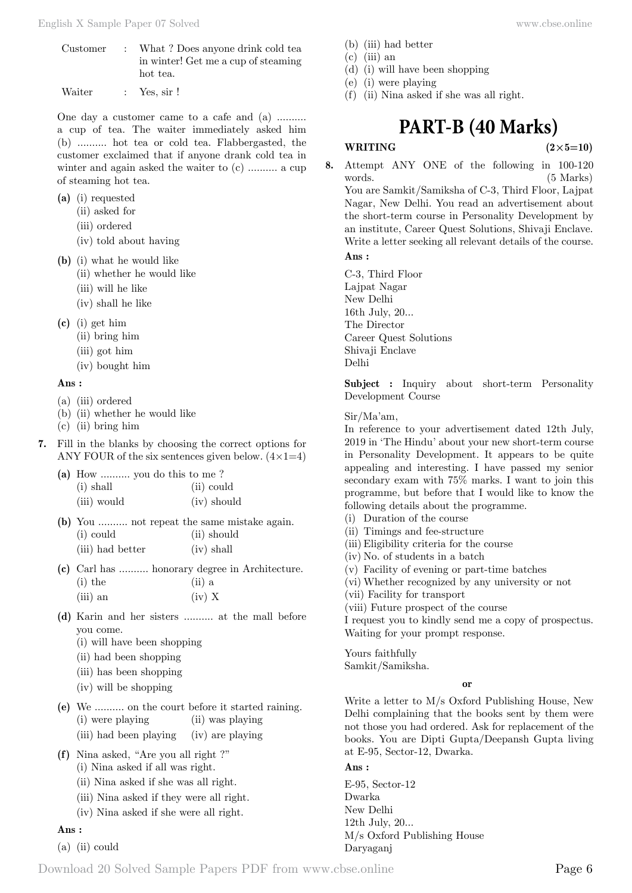- Customer : What ? Does anyone drink cold tea in winter! Get me a cup of steaming hot tea.
- Waiter : Yes, sir !

One day a customer came to a cafe and (a) .......... a cup of tea. The waiter immediately asked him (b) .......... hot tea or cold tea. Flabbergasted, the customer exclaimed that if anyone drank cold tea in winter and again asked the waiter to (c) .......... a cup of steaming hot tea.

- **(a)** (i) requested
	- (ii) asked for
	- (iii) ordered
	- (iv) told about having
- **(b)** (i) what he would like
	- (ii) whether he would like
		- (iii) will he like
		- (iv) shall he like
- **(c)** (i) get him
	- (ii) bring him
	- (iii) got him
	- (iv) bought him

#### **Ans :**

- (a) (iii) ordered
- (b) (ii) whether he would like
- (c) (ii) bring him
- **7.** Fill in the blanks by choosing the correct options for ANY FOUR of the six sentences given below.  $(4 \times 1=4)$

| (a) How  you do this to me? |             |
|-----------------------------|-------------|
| $(i)$ shall                 | (ii) could  |
| (iii) would                 | (iv) should |

- **(b)** You .......... not repeat the same mistake again. (i) could (ii) should
	- (iii) had better (iv) shall
- **(c)** Carl has .......... honorary degree in Architecture.  $(i)$  the  $(iii)$  a  $(iii)$  an  $(iv)$  X
- **(d)** Karin and her sisters .......... at the mall before you come.
	- (i) will have been shopping
	- (ii) had been shopping
	- (iii) has been shopping
	- (iv) will be shopping
- **(e)** We .......... on the court before it started raining. (i) were playing (ii) was playing
	- (iii) had been playing (iv) are playing
- **(f)** Nina asked, "Are you all right ?"
	- (i) Nina asked if all was right.
	- (ii) Nina asked if she was all right.
	- (iii) Nina asked if they were all right.
	- (iv) Nina asked if she were all right.

# **Ans :**

(a) (ii) could

- (b) (iii) had better
- $(c)$  (iii) an
- (d) (i) will have been shopping
- (e) (i) were playing
- (f) (ii) Nina asked if she was all right.

# **PART-B (40 Marks)**

**WRITING**  $(2 \times 5=10)$ 

**8.** Attempt ANY ONE of the following in 100-120 words. (5 Marks) You are Samkit/Samiksha of C-3, Third Floor, Lajpat Nagar, New Delhi. You read an advertisement about the short-term course in Personality Development by an institute, Career Quest Solutions, Shivaji Enclave. Write a letter seeking all relevant details of the course.

### **Ans :**

C-3, Third Floor Lajpat Nagar New Delhi 16th July, 20... The Director Career Quest Solutions Shivaji Enclave Delhi

**Subject :** Inquiry about short-term Personality Development Course

#### Sir/Ma'am,

In reference to your advertisement dated 12th July, 2019 in 'The Hindu' about your new short-term course in Personality Development. It appears to be quite appealing and interesting. I have passed my senior secondary exam with 75% marks. I want to join this programme, but before that I would like to know the following details about the programme.

- (i) Duration of the course
- (ii) Timings and fee-structure
- (iii) Eligibility criteria for the course
- (iv) No. of students in a batch
- (v) Facility of evening or part-time batches
- (vi) Whether recognized by any university or not
- (vii) Facility for transport
- (viii) Future prospect of the course

I request you to kindly send me a copy of prospectus. Waiting for your prompt response.

Yours faithfully

Samkit/Samiksha.

#### **o**

Write a letter to M/s Oxford Publishing House, New Delhi complaining that the books sent by them were not those you had ordered. Ask for replacement of the books. You are Dipti Gupta/Deepansh Gupta living at E-95, Sector-12, Dwarka.

 **Ans :**

E-95, Sector-12 Dwarka New Delhi 12th July, 20... M/s Oxford Publishing House Daryaganj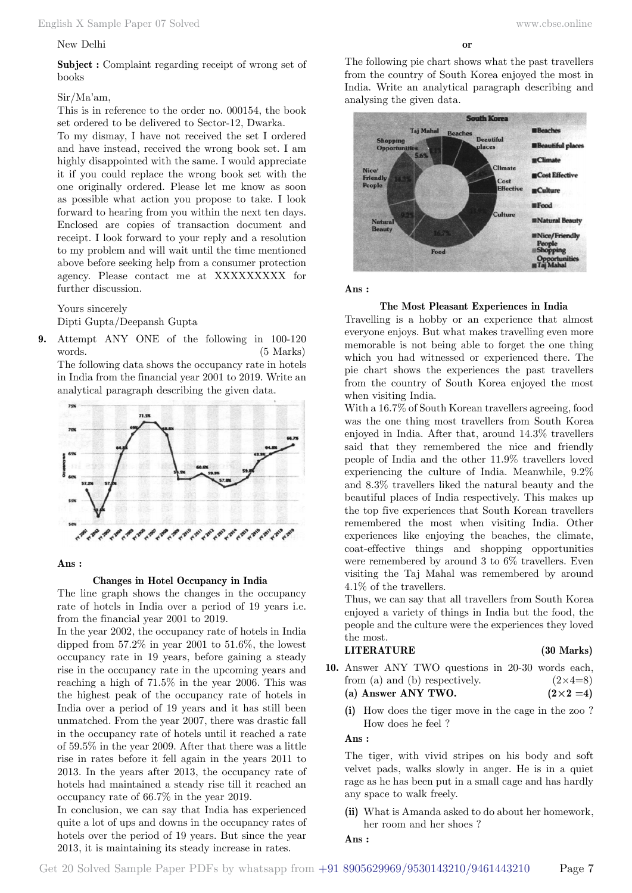### New Delhi

### Sir/Ma'am,

This is in reference to the order no. 000154, the book set ordered to be delivered to Sector-12, Dwarka.

To my dismay, I have not received the set I ordered and have instead, received the wrong book set. I am highly disappointed with the same. I would appreciate it if you could replace the wrong book set with the one originally ordered. Please let me know as soon as possible what action you propose to take. I look forward to hearing from you within the next ten days. Enclosed are copies of transaction document and receipt. I look forward to your reply and a resolution to my problem and will wait until the time mentioned above before seeking help from a consumer protection agency. Please contact me at XXXXXXXXX for further discussion.

Yours sincerely

Dipti Gupta/Deepansh Gupta

**9.** Attempt ANY ONE of the following in 100-120 words. (5 Marks) The following data shows the occupancy rate in hotels in India from the financial year 2001 to 2019. Write an



#### **Ans :**

#### **Changes in Hotel Occupancy in India**

The line graph shows the changes in the occupancy rate of hotels in India over a period of 19 years i.e. from the financial year 2001 to 2019.

In the year 2002, the occupancy rate of hotels in India dipped from  $57.2\%$  in year 2001 to  $51.6\%$ , the lowest occupancy rate in 19 years, before gaining a steady rise in the occupancy rate in the upcoming years and reaching a high of 71.5% in the year 2006. This was the highest peak of the occupancy rate of hotels in India over a period of 19 years and it has still been unmatched. From the year 2007, there was drastic fall in the occupancy rate of hotels until it reached a rate of 59.5% in the year 2009. After that there was a little rise in rates before it fell again in the years 2011 to 2013. In the years after 2013, the occupancy rate of hotels had maintained a steady rise till it reached an occupancy rate of 66.7% in the year 2019.

In conclusion, we can say that India has experienced quite a lot of ups and downs in the occupancy rates of hotels over the period of 19 years. But since the year 2013, it is maintaining its steady increase in rates.

The following pie chart shows what the past travellers from the country of South Korea enjoyed the most in India. Write an analytical paragraph describing and analysing the given data.



 **Ans :**

#### **The Most Pleasant Experiences in India**

Travelling is a hobby or an experience that almost everyone enjoys. But what makes travelling even more memorable is not being able to forget the one thing which you had witnessed or experienced there. The pie chart shows the experiences the past travellers from the country of South Korea enjoyed the most when visiting India.

With a 16.7% of South Korean travellers agreeing, food was the one thing most travellers from South Korea enjoyed in India. After that, around 14.3% travellers said that they remembered the nice and friendly people of India and the other 11.9% travellers loved experiencing the culture of India. Meanwhile, 9.2% and 8.3% travellers liked the natural beauty and the beautiful places of India respectively. This makes up the top five experiences that South Korean travellers remembered the most when visiting India. Other experiences like enjoying the beaches, the climate, coat-effective things and shopping opportunities were remembered by around 3 to 6% travellers. Even visiting the Taj Mahal was remembered by around 4.1% of the travellers.

Thus, we can say that all travellers from South Korea enjoyed a variety of things in India but the food, the people and the culture were the experiences they loved the most.

# **LITERATURE (30 Marks)**

- **10.** Answer ANY TWO questions in 20-30 words each, from (a) and (b) respectively.  $(2\times4=8)$ (a) Answer ANY TWO.  $(2 \times 2 = 4)$ 
	- **(i)** How does the tiger move in the cage in the zoo ? How does he feel ?

#### **Ans :**

The tiger, with vivid stripes on his body and soft velvet pads, walks slowly in anger. He is in a quiet rage as he has been put in a small cage and has hardly any space to walk freely.

**(ii)** What is Amanda asked to do about her homework, her room and her shoes ?

# **Ans :**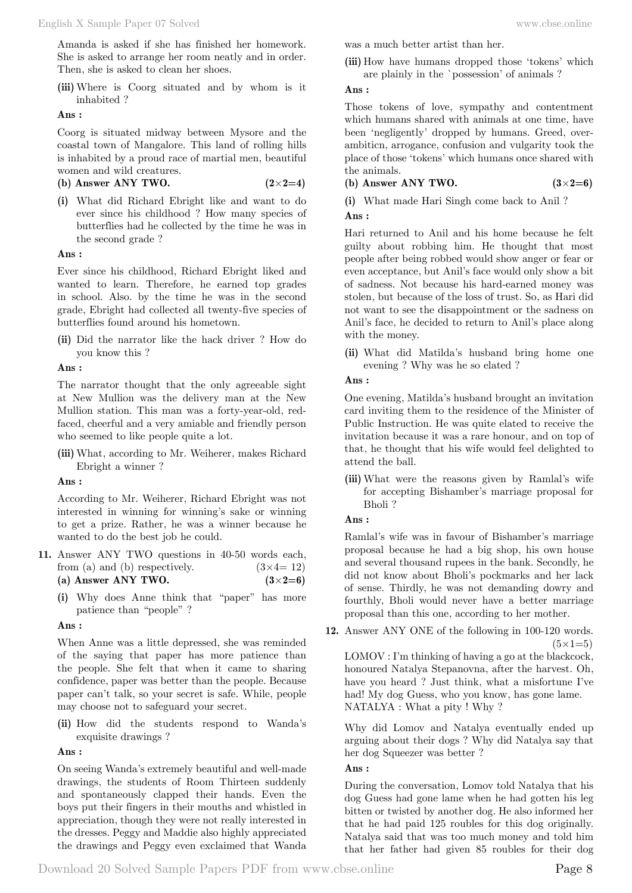Amanda is asked if she has finished her homework. She is asked to arrange her room neatly and in order. Then, she is asked to clean her shoes.

**(iii)** Where is Coorg situated and by whom is it inhabited ?

 **Ans :**

Coorg is situated midway between Mysore and the coastal town of Mangalore. This land of rolling hills is inhabited by a proud race of martial men, beautiful women and wild creatures.

 $(2 \times 2=4)$ 

**(i)** What did Richard Ebright like and want to do ever since his childhood ? How many species of butterflies had he collected by the time he was in the second grade ?

# **Ans :**

Ever since his childhood, Richard Ebright liked and wanted to learn. Therefore, he earned top grades in school. Also. by the time he was in the second grade, Ebright had collected all twenty-five species of butterflies found around his hometown.

**(ii)** Did the narrator like the hack driver ? How do you know this ?

 **Ans :**

The narrator thought that the only agreeable sight at New Mullion was the delivery man at the New Mullion station. This man was a forty-year-old, redfaced, cheerful and a very amiable and friendly person who seemed to like people quite a lot.

**(iii)** What, according to Mr. Weiherer, makes Richard Ebright a winner ?

 **Ans :**

According to Mr. Weiherer, Richard Ebright was not interested in winning for winning's sake or winning to get a prize. Rather, he was a winner because he wanted to do the best job he could.

- **11.** Answer ANY TWO questions in 40-50 words each, from (a) and (b) respectively.  $(3 \times 4 = 12)$ **(a) Answer ANY TWO.**  $(3 \times 2=6)$ 
	- **(i)** Why does Anne think that "paper" has more patience than "people" ?

 **Ans :**

When Anne was a little depressed, she was reminded of the saying that paper has more patience than the people. She felt that when it came to sharing confidence, paper was better than the people. Because paper can't talk, so your secret is safe. While, people may choose not to safeguard your secret.

**(ii)** How did the students respond to Wanda's exquisite drawings ?

 **Ans :**

On seeing Wanda's extremely beautiful and well-made drawings, the students of Room Thirteen suddenly and spontaneously clapped their hands. Even the boys put their fingers in their mouths and whistled in appreciation, though they were not really interested in the dresses. Peggy and Maddie also highly appreciated the drawings and Peggy even exclaimed that Wanda was a much better artist than her.

**(iii)** How have humans dropped those 'tokens' which are plainly in the `possession' of animals ?

 **Ans :**

Those tokens of love, sympathy and contentment which humans shared with animals at one time, have been 'negligently' dropped by humans. Greed, overambiticn, arrogance, confusion and vulgarity took the place of those 'tokens' which humans once shared with the animals.

**(b) Answer ANY TWO. (3**×**2=6)**

**(i)** What made Hari Singh come back to Anil ?  **Ans :**

Hari returned to Anil and his home because he felt guilty about robbing him. He thought that most people after being robbed would show anger or fear or even acceptance, but Anil's face would only show a bit of sadness. Not because his hard-earned money was stolen, but because of the loss of trust. So, as Hari did not want to see the disappointment or the sadness on Anil's face, he decided to return to Anil's place along with the money.

**(ii)** What did Matilda's husband bring home one evening ? Why was he so elated ?

# **Ans :**

One evening, Matilda's husband brought an invitation card inviting them to the residence of the Minister of Public Instruction. He was quite elated to receive the invitation because it was a rare honour, and on top of that, he thought that his wife would feel delighted to attend the ball.

- **(iii)** What were the reasons given by Ramlal's wife for accepting Bishamber's marriage proposal for Bholi ?
- **Ans :**

Ramlal's wife was in favour of Bishamber's marriage proposal because he had a big shop, his own house and several thousand rupees in the bank. Secondly, he did not know about Bholi's pockmarks and her lack of sense. Thirdly, he was not demanding dowry and fourthly, Bholi would never have a better marriage proposal than this one, according to her mother.

**12.** Answer ANY ONE of the following in 100-120 words.  $(5 \times 1=5)$ 

LOMOV : I'm thinking of having a go at the blackcock, honoured Natalya Stepanovna, after the harvest. Oh, have you heard ? Just think, what a misfortune I've had! My dog Guess, who you know, has gone lame. NATALYA : What a pity ! Why ?

Why did Lomov and Natalya eventually ended up arguing about their dogs ? Why did Natalya say that her dog Squeezer was better ?

# **Ans :**

During the conversation, Lomov told Natalya that his dog Guess had gone lame when he had gotten his leg bitten or twisted by another dog. He also informed her that he had paid 125 roubles for this dog originally. Natalya said that was too much money and told him that her father had given 85 roubles for their dog